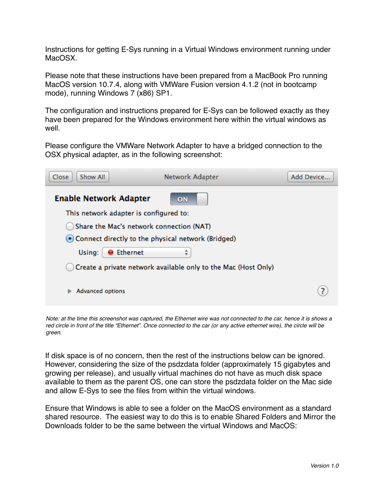Instructions for getting E-Sys running in a Virtual Windows environment running under MacOSX<sub>.</sub>

Please note that these instructions have been prepared from a MacBook Pro running MacOS version 10.7.4, along with VMWare Fusion version 4.1.2 (not in bootcamp mode), running Windows 7 (x86) SP1.

The configuration and instructions prepared for E-Sys can be followed exactly as they have been prepared for the Windows environment here within the virtual windows as well.

Please configure the VMWare Network Adapter to have a bridged connection to the OSX physical adapter, as in the following screenshot:

| Show All<br>Close                                    | Network Adapter                                                | Add Device. |
|------------------------------------------------------|----------------------------------------------------------------|-------------|
| <b>Enable Network Adapter</b>                        | ON                                                             |             |
| This network adapter is configured to:               |                                                                |             |
| Share the Mac's network connection (NAT)             |                                                                |             |
| • Connect directly to the physical network (Bridged) |                                                                |             |
| <b>Ethernet</b><br>Using:                            | $\overline{\mathbf{v}}$                                        |             |
|                                                      | Create a private network available only to the Mac (Host Only) |             |
| Advanced options                                     |                                                                |             |

*Note: at the time this screenshot was captured, the Ethernet wire was not connected to the car, hence it is shows a red circle in front of the title "Ethernet". Once connected to the car (or any active ethernet wire), the circle will be green.*

If disk space is of no concern, then the rest of the instructions below can be ignored. However, considering the size of the psdzdata folder (approximately 15 gigabytes and growing per release), and usually virtual machines do not have as much disk space available to them as the parent OS, one can store the psdzdata folder on the Mac side and allow E-Sys to see the files from within the virtual windows.

Ensure that Windows is able to see a folder on the MacOS environment as a standard shared resource. The easiest way to do this is to enable Shared Folders and Mirror the Downloads folder to be the same between the virtual Windows and MacOS: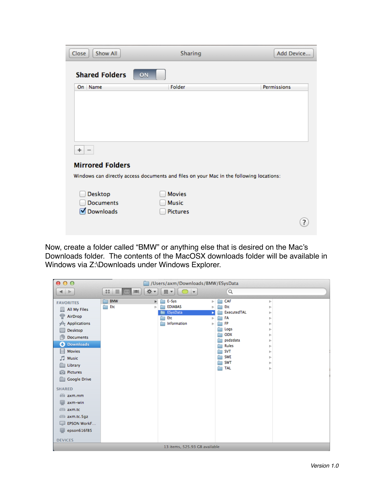| Show All<br>Close                     | Sharing                                                                                 | Add Device         |
|---------------------------------------|-----------------------------------------------------------------------------------------|--------------------|
| <b>Shared Folders</b>                 | ON                                                                                      |                    |
| On Name                               | Folder                                                                                  | <b>Permissions</b> |
|                                       |                                                                                         |                    |
|                                       |                                                                                         |                    |
|                                       |                                                                                         |                    |
|                                       |                                                                                         |                    |
|                                       |                                                                                         |                    |
| ÷.<br>$\hspace{0.1mm}-\hspace{0.1mm}$ |                                                                                         |                    |
| <b>Mirrored Folders</b>               |                                                                                         |                    |
|                                       | Windows can directly access documents and files on your Mac in the following locations: |                    |
|                                       | <b>Movies</b>                                                                           |                    |
| Desktop<br><b>Documents</b>           | <b>Music</b>                                                                            |                    |
| <b>Downloads</b>                      | <b>Pictures</b>                                                                         |                    |
|                                       |                                                                                         |                    |
|                                       |                                                                                         |                    |

Now, create a folder called "BMW" or anything else that is desired on the Mac's Downloads folder. The contents of the MacOSX downloads folder will be available in Windows via Z:\Downloads under Windows Explorer.

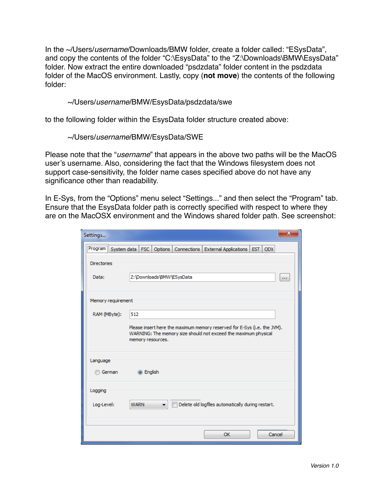In the ~/Users/*username*/Downloads/BMW folder, create a folder called: "ESysData", and copy the contents of the folder "C:\EsysData" to the "Z:\Downloads\BMW\EsysData" folder. Now extract the entire downloaded "psdzdata" folder content in the psdzdata folder of the MacOS environment. Lastly, copy (**not move**) the contents of the following folder:

## ~/Users/*username*/BMW/EsysData/psdzdata/swe

to the following folder within the EsysData folder structure created above:

## ~/Users/*username*/BMW/EsysData/SWE

Please note that the "*username*" that appears in the above two paths will be the MacOS user's username. Also, considering the fact that the Windows filesystem does not support case-sensitivity, the folder name cases specified above do not have any significance other than readability.

In E-Sys, from the "Options" menu select "Settings..." and then select the "Program" tab. Ensure that the EsysData folder path is correctly specified with respect to where they are on the MacOSX environment and the Windows shared folder path. See screenshot:

| Settings           | $\mathbf x$                                                                                                                                                      |  |  |
|--------------------|------------------------------------------------------------------------------------------------------------------------------------------------------------------|--|--|
| Program            | System data   FSC  <br><b>Connections</b><br>External Applications   EST  <br>ODX<br>Options                                                                     |  |  |
| <b>Directories</b> |                                                                                                                                                                  |  |  |
| Data:              | Z:\Downloads\BMW\ESysData<br>$\cdots$                                                                                                                            |  |  |
| Memory requirement |                                                                                                                                                                  |  |  |
| RAM (MByte):       | 512                                                                                                                                                              |  |  |
|                    | Please insert here the maximum memory reserved for E-Sys (i.e. the JVM).<br>WARNING: The memory size should not exceed the maximum physical<br>memory resources. |  |  |
| Language<br>German | i English                                                                                                                                                        |  |  |
| Logging            |                                                                                                                                                                  |  |  |
| Log-Level:         | <b>WARN</b><br>Delete old logfiles automatically during restart.                                                                                                 |  |  |
|                    |                                                                                                                                                                  |  |  |
|                    | Cancel<br>OK                                                                                                                                                     |  |  |